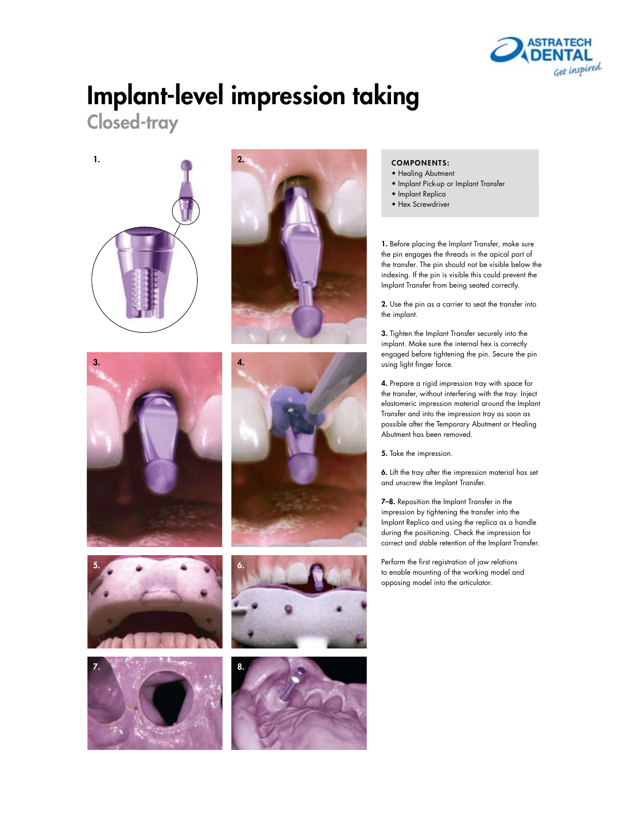

## Implant-level impression taking

Closed-tray

















#### COMPONENTS:

- Healing Abutment
- Implant Pick-up or Implant Transfer
- Implant Replica
- Hex Screwdriver

1. Before placing the Implant Transfer, make sure the pin engages the threads in the apical part of the transfer. The pin should not be visible below the indexing. If the pin is visible this could prevent the Implant Transfer from being seated correctly.

2. Use the pin as a carrier to seat the transfer into the implant.

3. Tighten the Implant Transfer securely into the implant. Make sure the internal hex is correctly engaged before tightening the pin. Secure the pin using light finger force.

4. Prepare a rigid impression tray with space for the transfer, without interfering with the tray. Inject elastomeric impression material around the Implant Transfer and into the impression tray as soon as possible after the Temporary Abutment or Healing Abutment has been removed.

5. Take the impression.

6. Lift the tray after the impression material has set and unscrew the Implant Transfer.

7–8. Reposition the Implant Transfer in the impression by tightening the transfer into the Implant Replica and using the replica as a handle during the positioning. Check the impression for correct and stable retention of the Implant Transfer.

Perform the first registration of jaw relations to enable mounting of the working model and opposing model into the articulator.